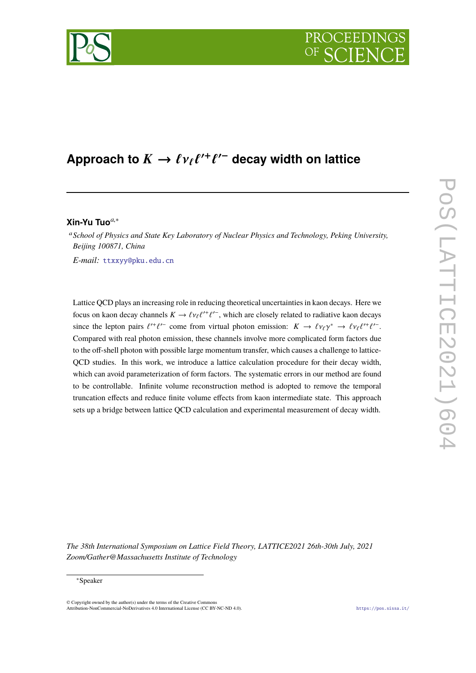

## Approach to  $K \to \ell v_{\ell} \ell^{\prime +}$ ` 0− **decay width on lattice**

# **Xin-Yu Tuo***a*,<sup>∗</sup>

<sup>a</sup>*School of Physics and State Key Laboratory of Nuclear Physics and Technology, Peking University, Beijing 100871, China*

*E-mail:* [ttxxyy@pku.edu.cn](mailto:ttxxyy@pku.edu.cn)

Lattice QCD plays an increasing role in reducing theoretical uncertainties in kaon decays. Here we focus on kaon decay channels  $K \to \ell \nu_{\ell} \ell^{\prime +} \ell^{\prime -}$ , which are closely related to radiative kaon decays since the lepton pairs  $\ell^{\prime+}\ell^{\prime-}$  come from virtual photon emission:  $K \to \ell\nu_{\ell}\gamma^* \to \ell\nu_{\ell}\ell^{\prime+}\ell^{\prime-}$ . ` ` Compared with real photon emission, these channels involve more complicated form factors due to the off-shell photon with possible large momentum transfer, which causes a challenge to lattice-QCD studies. In this work, we introduce a lattice calculation procedure for their decay width, which can avoid parameterization of form factors. The systematic errors in our method are found to be controllable. Infinite volume reconstruction method is adopted to remove the temporal truncation effects and reduce finite volume effects from kaon intermediate state. This approach sets up a bridge between lattice QCD calculation and experimental measurement of decay width.

*The 38th International Symposium on Lattice Field Theory, LATTICE2021 26th-30th July, 2021 Zoom/Gather@Massachusetts Institute of Technology*

© Copyright owned by the author(s) under the terms of the Creative Commons Attribution-NonCommercial-NoDerivatives 4.0 International License (CC BY-NC-ND 4.0). <https://pos.sissa.it/>

<sup>∗</sup>Speaker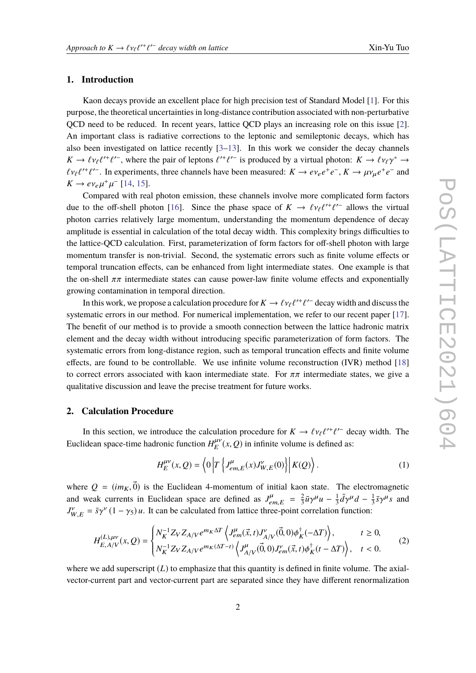# **1. Introduction**

Kaon decays provide an excellent place for high precision test of Standard Model [\[1\]](#page-7-0). For this purpose, the theoretical uncertainties in long-distance contribution associated with non-perturbative QCD need to be reduced. In recent years, lattice QCD plays an increasing role on this issue [\[2\]](#page-7-1). An important class is radiative corrections to the leptonic and semileptonic decays, which has also been investigated on lattice recently  $[3-13]$  $[3-13]$ . In this work we consider the decay channels  $K \to \ell \nu_{\ell} \ell^{\prime +} \ell^{\prime -}$ , where the pair of leptons  $\ell^{\prime +} \ell^{\prime -}$  is produced by a virtual photon:  $K \to \ell \nu_{\ell} \gamma^* \to$ <br> $\ell_{\ell}, \ell^{\prime +} \ell^{\prime -}$ . In a vertice three shappels have heap measured:  $K \to \infty$ ,  $\ell_{\ell}, \ell^{\prime +}$  $\ell^{+}\ell^{-}$ . In experiments, three channels have been measured:  $K \to e\gamma_e e^+e^-$ ,  $K \to \mu\gamma_\mu e^+e^-$  and  $K \to e\nu_e \mu^+ \mu^-$  [\[14,](#page-8-1) [15\]](#page-8-2).

µ Compared with real photon emission, these channels involve more complicated form factors due to the off-shell photon [\[16\]](#page-8-3). Since the phase space of  $K \to \ell v_{\ell} \ell^{\prime +} \ell^{\prime -}$  allows the virtual<br>photon corrise relatively legac momentum understanding the momentum dependence of decay photon carries relatively large momentum, understanding the momentum dependence of decay amplitude is essential in calculation of the total decay width. This complexity brings difficulties to the lattice-QCD calculation. First, parameterization of form factors for off-shell photon with large momentum transfer is non-trivial. Second, the systematic errors such as finite volume effects or temporal truncation effects, can be enhanced from light intermediate states. One example is that the on-shell  $\pi\pi$  intermediate states can cause power-law finite volume effects and exponentially growing contamination in temporal direction.

In this work, we propose a calculation procedure for  $K \to \ell v_{\ell} \ell^{\prime +} \ell^{\prime -}$  decay width and discuss the systematic errors in our method. For numerical implementation, we refer to our recent paper [\[17\]](#page-8-4). The benefit of our method is to provide a smooth connection between the lattice hadronic matrix element and the decay width without introducing specific parameterization of form factors. The systematic errors from long-distance region, such as temporal truncation effects and finite volume effects, are found to be controllable. We use infinite volume reconstruction (IVR) method [\[18\]](#page-8-5) to correct errors associated with kaon intermediate state. For  $\pi\pi$  intermediate states, we give a qualitative discussion and leave the precise treatment for future works.

## **2. Calculation Procedure**

In this section, we introduce the calculation procedure for  $K \to \ell v_{\ell} \ell^{\prime +} \ell^{\prime -}$  decay width. The idea gross time hadronic function  $H^{\mu\nu}(\mu, Q)$  in infinite values is defined as Euclidean space-time hadronic function  $H_E^{\mu\nu}(x, Q)$  in infinite volume is defined as:

$$
H_E^{\mu\nu}(x,Q) = \left\langle 0 \left| T \left\{ J_{em,E}^{\mu}(x) J_{W,E}^{\nu}(0) \right\} \right| K(Q) \right\rangle. \tag{1}
$$

where  $Q = (im_K, \vec{0})$  is the Euclidean 4-momentum of initial kaon state. The electromagnetic and weak currents in Euclidean space are defined as  $J_{emE}^{\mu} = \frac{2}{3}$  $J_{W,E}^{\gamma} = \bar{s}\gamma^{\gamma}(1-\gamma_5)u$ . It can be calculated from lattice three-point correlation function:  $\frac{2}{3}\bar{u}\gamma^{\mu}u - \frac{1}{3}$  $rac{1}{3}$  $\bar{d}\gamma^{\mu}d - \frac{1}{3}$  $rac{1}{3}$ *s*γ<sup>*μ*</sup>*s* and

$$
H_{E,A/V}^{(L),\mu\nu}(x,Q) = \begin{cases} N_K^{-1} Z_V Z_{A/V} e^{m_K \Delta T} \left\langle J_{em}^{\mu}(\vec{x},t) J_{A/V}^{\nu}(\vec{0},0) \phi_K^{\dagger}(-\Delta T) \right\rangle, & t \ge 0, \\ N_K^{-1} Z_V Z_{A/V} e^{m_K(\Delta T - t)} \left\langle J_{A/V}^{\mu}(\vec{0},0) J_{em}^{\nu}(\vec{x},t) \phi_K^{\dagger}(t - \Delta T) \right\rangle, & t < 0. \end{cases}
$$
(2)

where we add superscript (*L*) to emphasize that this quantity is defined in finite volume. The axialvector-current part and vector-current part are separated since they have different renormalization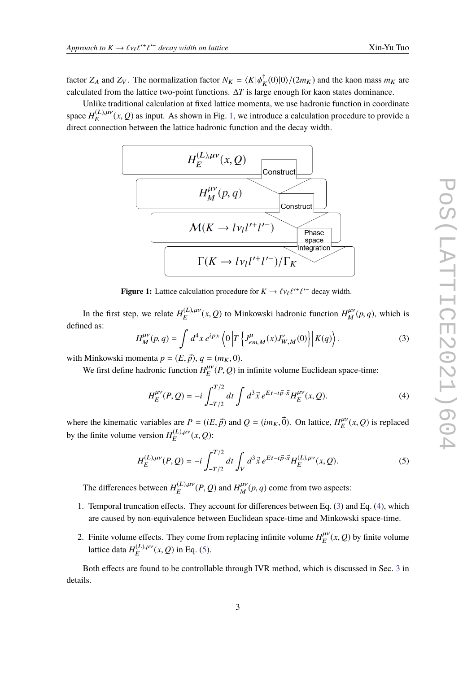factor  $Z_A$  and  $Z_V$ . The normalization factor  $N_K = \langle K | \phi \rangle^{\dagger}$  $K(K(0)|0\rangle/(2m_K)$  and the kaon mass  $m_K$  are calculated from the lattice two-point functions. ∆*T* is large enough for kaon states dominance.

<span id="page-2-0"></span>Unlike traditional calculation at fixed lattice momenta, we use hadronic function in coordinate space  $H_E^{(L),\mu\nu}(x,Q)$  as input. As shown in Fig. [1,](#page-2-0) we introduce a calculation procedure to provide a direct connection between the lettice hodienic function and the decess width direct connection between the lattice hadronic function and the decay width.



**Figure 1:** Lattice calculation procedure for  $K \to \ell \nu_{\ell} \ell^{\prime +}$  $\ell$ <sup>-</sup> decay width.

In the first step, we relate  $H_E^{(L),\mu\nu}(x,Q)$  to Minkowski hadronic function  $H_M^{\mu\nu}(p,q)$ , which is defined as:

<span id="page-2-1"></span>
$$
H_M^{\mu\nu}(p,q) = \int d^4x \, e^{ipx} \left\langle 0 \left| T \left\{ J_{em,M}^{\mu}(x) J_{W,M}^{\nu}(0) \right\} \right| K(q) \right\rangle. \tag{3}
$$

with Minkowski momenta  $p = (E, \vec{p}), q = (m_K, 0)$ .

We first define hadronic function  $H_E^{\mu\nu}(P,Q)$  in infinite volume Euclidean space-time:

<span id="page-2-2"></span>
$$
H_E^{\mu\nu}(P,Q) = -i \int_{-T/2}^{T/2} dt \int d^3 \vec{x} e^{Et - i\vec{p}\cdot\vec{x}} H_E^{\mu\nu}(x,Q).
$$
 (4)

where the kinematic variables are  $P = (iE, \vec{p})$  and  $Q = (im_K, \vec{0})$ . On lattice,  $H_E^{\mu\nu}(x, Q)$  is replaced by the finite volume version  $H_E^{(L),\mu\nu}(x,Q)$ :

<span id="page-2-3"></span>
$$
H_E^{(L),\mu\nu}(P,Q) = -i \int_{-T/2}^{T/2} dt \int_V d^3 \vec{x} e^{Et - i\vec{p}\cdot\vec{x}} H_E^{(L),\mu\nu}(x,Q). \tag{5}
$$

The differences between  $H_E^{(L),\mu\nu}(P,Q)$  and  $H_M^{\mu\nu}(p,q)$  come from two aspects:

- 1. Temporal truncation effects. They account for differences between Eq. [\(3\)](#page-2-1) and Eq. [\(4\)](#page-2-2), which are caused by non-equivalence between Euclidean space-time and Minkowski space-time.
- 2. Finite volume effects. They come from replacing infinite volume  $H_E^{\mu\nu}(x, Q)$  by finite volume lattice data  $H_E^{(L),\mu\nu}(x,Q)$  in Eq. [\(5\)](#page-2-3).

Both effects are found to be controllable through IVR method, which is discussed in Sec. [3](#page-4-0) in details.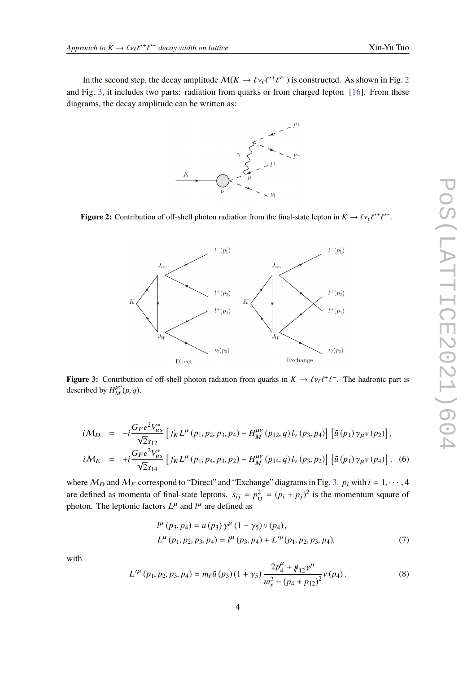<span id="page-3-0"></span>In the second step, the decay amplitude  $\mathcal{M}(K \to \ell v_{\ell} \ell^{r+\ell'-})$  is constructed. As shown in Fig. [2](#page-3-0)<br>Fig. 2, it includes two pertain rediction from quarks or from charged letter. [16] From these and Fig. [3,](#page-3-1) it includes two parts: radiation from quarks or from charged lepton [\[16\]](#page-8-3). From these diagrams, the decay amplitude can be written as:



<span id="page-3-1"></span>**Figure 2:** Contribution of off-shell photon radiation from the final-state lepton in  $K \to \ell \nu_{\ell} \ell^{\prime +}$  $'$ <sup>-</sup>.



**Figure 3:** Contribution of off-shell photon radiation from quarks in  $K \to \ell \nu_{\ell} \ell^{+}$ − . The hadronic part is described by  $H_M^{\mu\nu}(p,q)$ .

$$
i\mathcal{M}_D = -i\frac{G_F e^2 V_{us}^*}{\sqrt{2}s_{12}} \left[ f_K L^{\mu} (p_1, p_2, p_3, p_4) - H_M^{\mu\nu} (p_{12}, q) l_{\nu} (p_3, p_4) \right] \left[ \bar{u} (p_1) \gamma_{\mu} v (p_2) \right],
$$
  
\n
$$
i\mathcal{M}_E = +i\frac{G_F e^2 V_{us}^*}{\sqrt{2}s_{14}} \left[ f_K L^{\mu} (p_1, p_4, p_3, p_2) - H_M^{\mu\nu} (p_{14}, q) l_{\nu} (p_3, p_2) \right] \left[ \bar{u} (p_1) \gamma_{\mu} v (p_4) \right].
$$
 (6)

where  $M_D$  and  $M_E$  correspond to "Direct" and "Exchange" diagrams in Fig. [3.](#page-3-1)  $p_i$  with  $i = 1, \dots, 4$ are defined as momenta of final-state leptons.  $s_{ij} = p_{ij}^2 = (p_i + p_j)^2$  is the momentum square of photon. The leptonic factors  $L^{\mu}$  and  $l^{\mu}$  are defined as

$$
l^{\mu}(p_3, p_4) = \bar{u}(p_3) \gamma^{\mu} (1 - \gamma_5) v(p_4),
$$
  
\n
$$
L^{\mu}(p_1, p_2, p_3, p_4) = l^{\mu}(p_3, p_4) + L'^{\mu}(p_1, p_2, p_3, p_4),
$$
\n(7)

with

$$
L^{\prime \mu} (p_1, p_2, p_3, p_4) = m_{\ell} \bar{u} (p_3) (1 + \gamma_5) \frac{2p_4^{\mu} + p_{12}^{\mu}}{m_{\ell}^2 - (p_4 + p_{12})^2} v (p_4).
$$
 (8)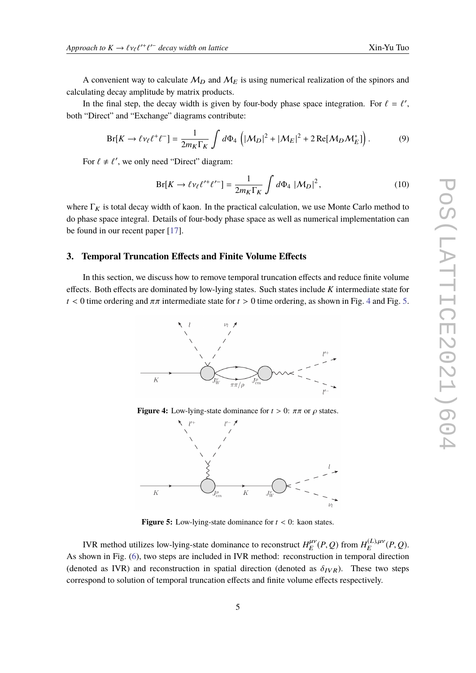A convenient way to calculate  $M_D$  and  $M_E$  is using numerical realization of the spinors and calculating decay amplitude by matrix products.

In the final step, the decay width is given by four-body phase space integration. For  $\ell = \ell'$ , "Direct" and "Evenings" diagrams contributes. both "Direct" and "Exchange" diagrams contribute:

$$
Br[K \to \ell \nu_\ell \ell^+ \ell^-] = \frac{1}{2m_K \Gamma_K} \int d\Phi_4 \left( |M_D|^2 + |M_E|^2 + 2 \operatorname{Re}[M_D M_E^*] \right). \tag{9}
$$

For  $\ell \neq \ell'$ , we only need "Direct" diagram:

$$
Br[K \to \ell \nu_{\ell} \ell^{\prime +} \ell^{\prime -}] = \frac{1}{2m_K \Gamma_K} \int d\Phi_4 \, |M_D|^2, \tag{10}
$$

where  $\Gamma_K$  is total decay width of kaon. In the practical calculation, we use Monte Carlo method to do phase space integral. Details of four-body phase space as well as numerical implementation can be found in our recent paper [\[17\]](#page-8-4).

## <span id="page-4-0"></span>**3. Temporal Truncation Effects and Finite Volume Effects**

<span id="page-4-1"></span>In this section, we discuss how to remove temporal truncation effects and reduce finite volume effects. Both effects are dominated by low-lying states. Such states include *K* intermediate state for  $t < 0$  time ordering and  $\pi \pi$  intermediate state for  $t > 0$  time ordering, as shown in Fig. [4](#page-4-1) and Fig. [5.](#page-4-1)







**Figure 5:** Low-lying-state dominance for  $t < 0$ : kaon states.

IVR method utilizes low-lying-state dominance to reconstruct  $H_E^{\mu\nu}(P,Q)$  from  $H_E^{(L),\mu\nu}(P,Q)$ . As shown in Fig. [\(6\)](#page-5-0), two steps are included in IVR method: reconstruction in temporal direction (denoted as IVR) and reconstruction in spatial direction (denoted as  $\delta_{IVR}$ ). These two steps correspond to solution of temporal truncation effects and finite volume effects respectively.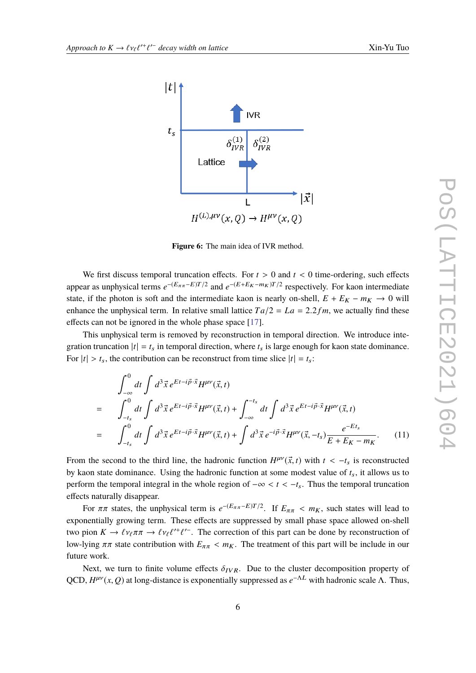<span id="page-5-0"></span>

**Figure 6:** The main idea of IVR method.

We first discuss temporal truncation effects. For  $t > 0$  and  $t < 0$  time-ordering, such effects appear as unphysical terms  $e^{-(E_{\pi\pi}-E)T/2}$  and  $e^{-(E+E_K-m_K)T/2}$  respectively. For kaon intermediate state, if the photon is soft and the intermediate kaon is nearly on-shell,  $E + E_K - m_K \rightarrow 0$  will enhance the unphysical term. In relative small lattice  $Ta/2 = La = 2.2 fm$ , we actually find these effects can not be ignored in the whole phase space [\[17\]](#page-8-4).

This unphysical term is removed by reconstruction in temporal direction. We introduce integration truncation  $|t| = t_s$  in temporal direction, where  $t_s$  is large enough for kaon state dominance. For  $|t| > t_s$ , the contribution can be reconstruct from time slice  $|t| = t_s$ :

$$
\int_{-\infty}^{0} dt \int d^{3} \vec{x} e^{Et - i\vec{p}\cdot\vec{x}} H^{\mu\nu}(\vec{x}, t)
$$
\n
$$
= \int_{-t_{s}}^{0} dt \int d^{3} \vec{x} e^{Et - i\vec{p}\cdot\vec{x}} H^{\mu\nu}(\vec{x}, t) + \int_{-\infty}^{-t_{s}} dt \int d^{3} \vec{x} e^{Et - i\vec{p}\cdot\vec{x}} H^{\mu\nu}(\vec{x}, t)
$$
\n
$$
= \int_{-t_{s}}^{0} dt \int d^{3} \vec{x} e^{Et - i\vec{p}\cdot\vec{x}} H^{\mu\nu}(\vec{x}, t) + \int d^{3} \vec{x} e^{-i\vec{p}\cdot\vec{x}} H^{\mu\nu}(\vec{x}, -t_{s}) \frac{e^{-Et_{s}}}{E + E_{K} - m_{K}}.
$$
\n(11)

From the second to the third line, the hadronic function  $H^{\mu\nu}(\vec{x}, t)$  with  $t < -t_s$  is reconstructed<br>by loop atota dominance. Heing the hadronic function at some modest value of the it allows us to by kaon state dominance. Using the hadronic function at some modest value of  $t_s$ , it allows us to perform the temporal integral in the whole region of −∞ < *<sup>t</sup>* < <sup>−</sup>*t*s. Thus the temporal truncation effects naturally disappear.

For  $\pi\pi$  states, the unphysical term is  $e^{-(E_{\pi\pi}-E)T/2}$ . If  $E_{\pi\pi} < m_K$ , such states will lead to noticely growing term. These effects are symmessed by small phase gross allowed an abell exponentially growing term. These effects are suppressed by small phase space allowed on-shell two pion  $K \to \ell \nu_{\ell} \pi \pi \to \ell \nu_{\ell} \ell^{\prime +} \ell^{\prime -}$ . The correction of this part can be done by reconstruction of law high grade in our line low-lying  $\pi\pi$  state contribution with  $E_{\pi\pi} < m_K$ . The treatment of this part will be include in our future work.

Next, we turn to finite volume effects  $\delta_{IVR}$ . Due to the cluster decomposition property of QCD,  $H^{\mu\nu}(x, Q)$  at long-distance is exponentially suppressed as  $e^{-\Lambda L}$  with hadronic scale  $\Lambda$ . Thus,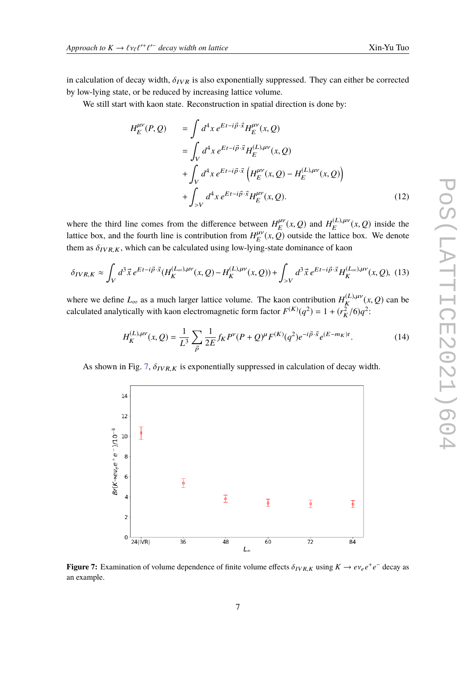in calculation of decay width,  $\delta_{IVR}$  is also exponentially suppressed. They can either be corrected by low-lying state, or be reduced by increasing lattice volume.

We still start with kaon state. Reconstruction in spatial direction is done by:

$$
H_E^{\mu\nu}(P, Q) = \int d^4x \, e^{Et - i\vec{p}\cdot\vec{x}} H_E^{\mu\nu}(x, Q)
$$
  
= 
$$
\int_V d^4x \, e^{Et - i\vec{p}\cdot\vec{x}} H_E^{(L), \mu\nu}(x, Q)
$$
  
+ 
$$
\int_V d^4x \, e^{Et - i\vec{p}\cdot\vec{x}} \left( H_E^{\mu\nu}(x, Q) - H_E^{(L), \mu\nu}(x, Q) \right)
$$
  
+ 
$$
\int_{>V} d^4x \, e^{Et - i\vec{p}\cdot\vec{x}} H_E^{\mu\nu}(x, Q).
$$
 (12)

where the third line comes from the difference between  $H_E^{\mu\nu}(x, Q)$  and  $H_E^{(L), \mu\nu}(x, Q)$  inside the lattice box, and the fourth line is contribution from  $H_E^{\mu\nu}(x, Q)$  outside the lattice box. We denote them as  $\delta_{IVR,K}$ , which can be calculated using low-lying-state dominance of kaon

$$
\delta_{IVR,K} \approx \int_{V} d^3 \vec{x} \, e^{Et - i\vec{p} \cdot \vec{x}} (H_K^{(L_{\infty}), \mu\nu}(x, Q) - H_K^{(L), \mu\nu}(x, Q)) + \int_{>V} d^3 \vec{x} \, e^{Et - i\vec{p} \cdot \vec{x}} H_K^{(L_{\infty}), \mu\nu}(x, Q), \tag{13}
$$

where we define  $L_{\infty}$  as a much larger lattice volume. The kaon contribution  $H_K^{(L),\mu\nu}(x,Q)$  can be calculated analytically with kaon electromagnetic form factor  $F^{(K)}(q^2) = 1 + (r_K^2/6)q^2$ :

$$
H_K^{(L),\mu\nu}(x,Q) = \frac{1}{L^3} \sum_{\vec{p}} \frac{1}{2E} f_K P^{\nu}(P+Q)^{\mu} F^{(K)}(q^2) e^{-i\vec{p}\cdot\vec{x}} e^{(E-m_K)t}.
$$
 (14)

<span id="page-6-0"></span>As shown in Fig. [7,](#page-6-0)  $\delta_{IVR,K}$  is exponentially suppressed in calculation of decay width.



**Figure 7:** Examination of volume dependence of finite volume effects  $\delta_{IVR,K}$  using  $K \to e v_e e^+ e^-$  decay as an example.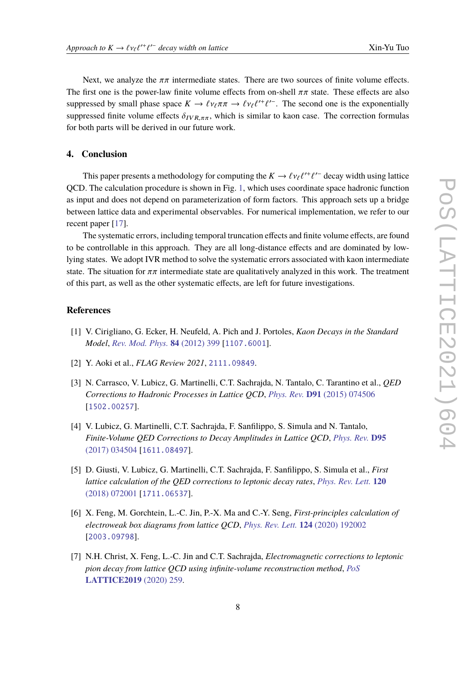Next, we analyze the  $\pi\pi$  intermediate states. There are two sources of finite volume effects. The first one is the power-law finite volume effects from on-shell  $\pi\pi$  state. These effects are also suppressed by small phase space  $K \to \ell v_{\ell} \pi \pi \to \ell v_{\ell} \ell'^{+} \ell'^{-}$ . The second one is the exponentially<br>currenceed finite volume offsets  $\delta$ . suppressed finite volume effects  $\delta_{IVR,\pi\pi}$ , which is similar to kaon case. The correction formulas for both parts will be derived in our future work.

## **4. Conclusion**

This paper presents a methodology for computing the  $K \to \ell v_{\ell} \ell^{\prime +} \ell^{\prime -}$  decay width using lattice<br>On The coloulation precedure is shown in Fig. 1, which uses exercing apeer hadronic function ` QCD. The calculation procedure is shown in Fig. [1,](#page-2-0) which uses coordinate space hadronic function as input and does not depend on parameterization of form factors. This approach sets up a bridge between lattice data and experimental observables. For numerical implementation, we refer to our recent paper [\[17\]](#page-8-4).

The systematic errors, including temporal truncation effects and finite volume effects, are found to be controllable in this approach. They are all long-distance effects and are dominated by lowlying states. We adopt IVR method to solve the systematic errors associated with kaon intermediate state. The situation for  $\pi\pi$  intermediate state are qualitatively analyzed in this work. The treatment of this part, as well as the other systematic effects, are left for future investigations.

# **References**

- <span id="page-7-0"></span>[1] V. Cirigliano, G. Ecker, H. Neufeld, A. Pich and J. Portoles, *Kaon Decays in the Standard Model*, *[Rev. Mod. Phys.](https://doi.org/10.1103/RevModPhys.84.399)* **84** (2012) 399 [[1107.6001](https://arxiv.org/abs/1107.6001)].
- <span id="page-7-1"></span>[2] Y. Aoki et al., *FLAG Review 2021*, [2111.09849](https://arxiv.org/abs/2111.09849).
- <span id="page-7-2"></span>[3] N. Carrasco, V. Lubicz, G. Martinelli, C.T. Sachrajda, N. Tantalo, C. Tarantino et al., *QED Corrections to Hadronic Processes in Lattice QCD*, *Phys. Rev.* **D91** [\(2015\) 074506](https://doi.org/10.1103/PhysRevD.91.074506) [[1502.00257](https://arxiv.org/abs/1502.00257)].
- [4] V. Lubicz, G. Martinelli, C.T. Sachrajda, F. Sanfilippo, S. Simula and N. Tantalo, *Finite-Volume QED Corrections to Decay Amplitudes in Lattice QCD*, *[Phys. Rev.](https://doi.org/10.1103/PhysRevD.95.034504)* **D95** [\(2017\) 034504](https://doi.org/10.1103/PhysRevD.95.034504) [[1611.08497](https://arxiv.org/abs/1611.08497)].
- [5] D. Giusti, V. Lubicz, G. Martinelli, C.T. Sachrajda, F. Sanfilippo, S. Simula et al., *First lattice calculation of the QED corrections to leptonic decay rates*, *[Phys. Rev. Lett.](https://doi.org/10.1103/PhysRevLett.120.072001)* **120** [\(2018\) 072001](https://doi.org/10.1103/PhysRevLett.120.072001) [[1711.06537](https://arxiv.org/abs/1711.06537)].
- [6] X. Feng, M. Gorchtein, L.-C. Jin, P.-X. Ma and C.-Y. Seng, *First-principles calculation of electroweak box diagrams from lattice QCD*, *[Phys. Rev. Lett.](https://doi.org/10.1103/PhysRevLett.124.192002)* **124** (2020) 192002 [[2003.09798](https://arxiv.org/abs/2003.09798)].
- [7] N.H. Christ, X. Feng, L.-C. Jin and C.T. Sachrajda, *Electromagnetic corrections to leptonic pion decay from lattice QCD using infinite-volume reconstruction method*, *[PoS](https://doi.org/10.22323/1.363.0259)* **[LATTICE2019](https://doi.org/10.22323/1.363.0259)** (2020) 259.